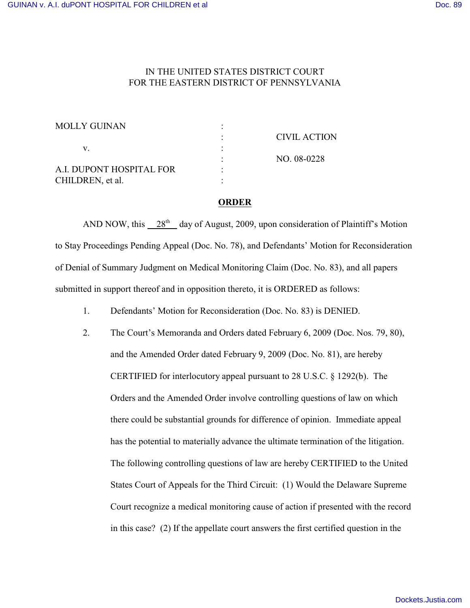## IN THE UNITED STATES DISTRICT COURT FOR THE EASTERN DISTRICT OF PENNSYLVANIA

| <b>MOLLY GUINAN</b>      |                     |
|--------------------------|---------------------|
|                          | <b>CIVIL ACTION</b> |
|                          |                     |
|                          | NO. 08-0228         |
| A.I. DUPONT HOSPITAL FOR |                     |
| CHILDREN, et al.         |                     |

## **ORDER**

AND NOW, this  $28<sup>th</sup>$  day of August, 2009, upon consideration of Plaintiff's Motion to Stay Proceedings Pending Appeal (Doc. No. 78), and Defendants' Motion for Reconsideration of Denial of Summary Judgment on Medical Monitoring Claim (Doc. No. 83), and all papers submitted in support thereof and in opposition thereto, it is ORDERED as follows:

1. Defendants' Motion for Reconsideration (Doc. No. 83) is DENIED.

2. The Court's Memoranda and Orders dated February 6, 2009 (Doc. Nos. 79, 80), and the Amended Order dated February 9, 2009 (Doc. No. 81), are hereby CERTIFIED for interlocutory appeal pursuant to 28 U.S.C. § 1292(b). The Orders and the Amended Order involve controlling questions of law on which there could be substantial grounds for difference of opinion. Immediate appeal has the potential to materially advance the ultimate termination of the litigation. The following controlling questions of law are hereby CERTIFIED to the United States Court of Appeals for the Third Circuit: (1) Would the Delaware Supreme Court recognize a medical monitoring cause of action if presented with the record in this case? (2) If the appellate court answers the first certified question in the